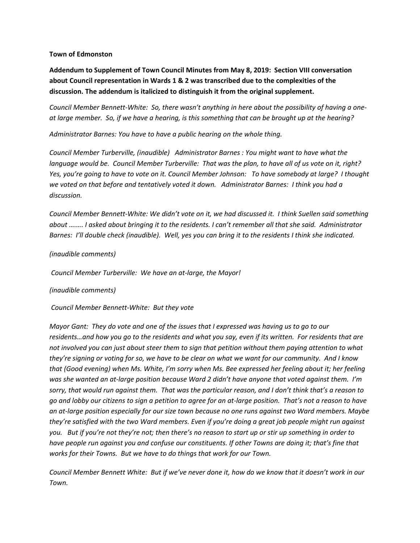### **Town of Edmonston**

**Addendum to Supplement of Town Council Minutes from May 8, 2019: Section VIII conversation about Council representation in Wards 1 & 2 was transcribed due to the complexities of the discussion. The addendum is italicized to distinguish it from the original supplement.**

*Council Member Bennett-White: So, there wasn't anything in here about the possibility of having a oneat large member. So, if we have a hearing, is this something that can be brought up at the hearing?*

*Administrator Barnes: You have to have a public hearing on the whole thing.* 

*Council Member Turberville, (inaudible) Administrator Barnes : You might want to have what the language would be. Council Member Turberville: That was the plan, to have all of us vote on it, right? Yes, you're going to have to vote on it. Council Member Johnson: To have somebody at large? I thought we voted on that before and tentatively voted it down. Administrator Barnes: I think you had a discussion.* 

*Council Member Bennett-White: We didn't vote on it, we had discussed it. I think Suellen said something about ….…. I asked about bringing it to the residents. I can't remember all that she said. Administrator Barnes: I'll double check (inaudible). Well, yes you can bring it to the residents I think she indicated.* 

## *(inaudible comments)*

*Council Member Turberville: We have an at-large, the Mayor!* 

### *(inaudible comments)*

*Council Member Bennett-White: But they vote* 

*Mayor Gant: They do vote and one of the issues that I expressed was having us to go to our residents…and how you go to the residents and what you say, even if its written. For residents that are not involved you can just about steer them to sign that petition without them paying attention to what they're signing or voting for so, we have to be clear on what we want for our community. And I know that (Good evening) when Ms. White, I'm sorry when Ms. Bee expressed her feeling about it; her feeling was she wanted an at-large position because Ward 2 didn't have anyone that voted against them. I'm sorry, that would run against them. That was the particular reason, and I don't think that's a reason to go and lobby our citizens to sign a petition to agree for an at-large position. That's not a reason to have an at-large position especially for our size town because no one runs against two Ward members. Maybe they're satisfied with the two Ward members. Even if you're doing a great job people might run against you. But if you're not they're not; then there's no reason to start up or stir up something in order to have people run against you and confuse our constituents. If other Towns are doing it; that's fine that works for their Towns. But we have to do things that work for our Town.*

*Council Member Bennett White: But if we've never done it, how do we know that it doesn't work in our Town.*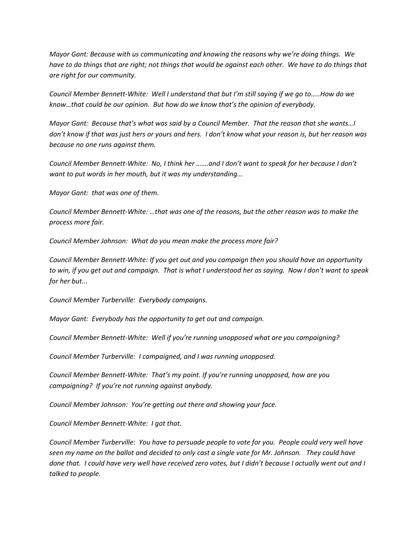*Mayor Gant: Because with us communicating and knowing the reasons why we're doing things. We have to do things that are right; not things that would be against each other. We have to do things that are right for our community.*

*Council Member Bennett-White: Well I understand that but I'm still saying if we go to…..How do we know…that could be our opinion. But how do we know that's the opinion of everybody.*

*Mayor Gant: Because that's what was said by a Council Member. That the reason that she wants…I don't know if that was just hers or yours and hers. I don't know what your reason is, but her reason was because no one runs against them.* 

*Council Member Bennett-White: No, I think her …….and I don't want to speak for her because I don't want to put words in her mouth, but it was my understanding...*

*Mayor Gant: that was one of them.*

*Council Member Bennett-White: …that was one of the reasons, but the other reason was to make the process more fair.*

*Council Member Johnson: What do you mean make the process more fair?*

*Council Member Bennett-White: If you get out and you campaign then you should have an opportunity to win, if you get out and campaign. That is what I understood her as saying. Now I don't want to speak for her but...*

*Council Member Turberville: Everybody campaigns.*

*Mayor Gant: Everybody has the opportunity to get out and campaign.* 

*Council Member Bennett-White: Well if you're running unopposed what are you campaigning?*

*Council Member Turberville: I campaigned, and I was running unopposed.*

*Council Member Bennett-White: That's my point. If you're running unopposed, how are you campaigning? If you're not running against anybody.*

*Council Member Johnson: You're getting out there and showing your face.* 

*Council Member Bennett-White: I got that.*

*Council Member Turberville: You have to persuade people to vote for you. People could very well have seen my name on the ballot and decided to only cast a single vote for Mr. Johnson. They could have done that. I could have very well have received zero votes, but I didn't because I actually went out and I talked to people.*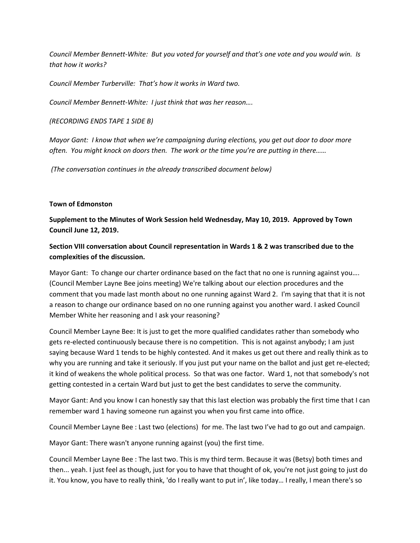*Council Member Bennett-White: But you voted for yourself and that's one vote and you would win. Is that how it works?*

*Council Member Turberville: That's how it works in Ward two.* 

*Council Member Bennett-White: I just think that was her reason….*

*(RECORDING ENDS TAPE 1 SIDE B)*

*Mayor Gant: I know that when we're campaigning during elections, you get out door to door more often. You might knock on doors then. The work or the time you're are putting in there……*

*(The conversation continues in the already transcribed document below)*

## **Town of Edmonston**

**Supplement to the Minutes of Work Session held Wednesday, May 10, 2019. Approved by Town Council June 12, 2019.**

# **Section VIII conversation about Council representation in Wards 1 & 2 was transcribed due to the complexities of the discussion.**

Mayor Gant: To change our charter ordinance based on the fact that no one is running against you…. (Council Member Layne Bee joins meeting) We're talking about our election procedures and the comment that you made last month about no one running against Ward 2. I'm saying that that it is not a reason to change our ordinance based on no one running against you another ward. I asked Council Member White her reasoning and I ask your reasoning?

Council Member Layne Bee: It is just to get the more qualified candidates rather than somebody who gets re-elected continuously because there is no competition. This is not against anybody; I am just saying because Ward 1 tends to be highly contested. And it makes us get out there and really think as to why you are running and take it seriously. If you just put your name on the ballot and just get re-elected; it kind of weakens the whole political process. So that was one factor. Ward 1, not that somebody's not getting contested in a certain Ward but just to get the best candidates to serve the community.

Mayor Gant: And you know I can honestly say that this last election was probably the first time that I can remember ward 1 having someone run against you when you first came into office.

Council Member Layne Bee : Last two (elections) for me. The last two I've had to go out and campaign.

Mayor Gant: There wasn't anyone running against (you) the first time.

Council Member Layne Bee : The last two. This is my third term. Because it was (Betsy) both times and then... yeah. I just feel as though, just for you to have that thought of ok, you're not just going to just do it. You know, you have to really think, 'do I really want to put in', like today… I really, I mean there's so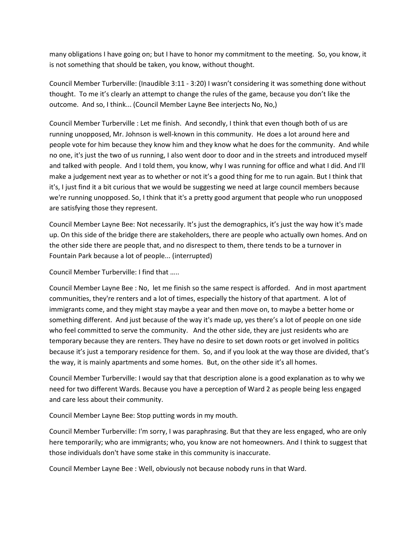many obligations I have going on; but I have to honor my commitment to the meeting. So, you know, it is not something that should be taken, you know, without thought.

Council Member Turberville: (Inaudible 3:11 - 3:20) I wasn't considering it was something done without thought. To me it's clearly an attempt to change the rules of the game, because you don't like the outcome. And so, I think... (Council Member Layne Bee interjects No, No,)

Council Member Turberville : Let me finish. And secondly, I think that even though both of us are running unopposed, Mr. Johnson is well-known in this community. He does a lot around here and people vote for him because they know him and they know what he does for the community. And while no one, it's just the two of us running, I also went door to door and in the streets and introduced myself and talked with people. And I told them, you know, why I was running for office and what I did. And I'll make a judgement next year as to whether or not it's a good thing for me to run again. But I think that it's, I just find it a bit curious that we would be suggesting we need at large council members because we're running unopposed. So, I think that it's a pretty good argument that people who run unopposed are satisfying those they represent.

Council Member Layne Bee: Not necessarily. It's just the demographics, it's just the way how it's made up. On this side of the bridge there are stakeholders, there are people who actually own homes. And on the other side there are people that, and no disrespect to them, there tends to be a turnover in Fountain Park because a lot of people... (interrupted)

Council Member Turberville: I find that …..

Council Member Layne Bee : No, let me finish so the same respect is afforded. And in most apartment communities, they're renters and a lot of times, especially the history of that apartment. A lot of immigrants come, and they might stay maybe a year and then move on, to maybe a better home or something different. And just because of the way it's made up, yes there's a lot of people on one side who feel committed to serve the community. And the other side, they are just residents who are temporary because they are renters. They have no desire to set down roots or get involved in politics because it's just a temporary residence for them. So, and if you look at the way those are divided, that's the way, it is mainly apartments and some homes. But, on the other side it's all homes.

Council Member Turberville: I would say that that description alone is a good explanation as to why we need for two different Wards. Because you have a perception of Ward 2 as people being less engaged and care less about their community.

Council Member Layne Bee: Stop putting words in my mouth.

Council Member Turberville: I'm sorry, I was paraphrasing. But that they are less engaged, who are only here temporarily; who are immigrants; who, you know are not homeowners. And I think to suggest that those individuals don't have some stake in this community is inaccurate.

Council Member Layne Bee : Well, obviously not because nobody runs in that Ward.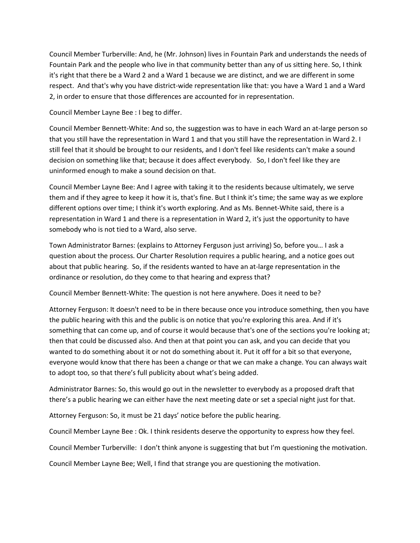Council Member Turberville: And, he (Mr. Johnson) lives in Fountain Park and understands the needs of Fountain Park and the people who live in that community better than any of us sitting here. So, I think it's right that there be a Ward 2 and a Ward 1 because we are distinct, and we are different in some respect. And that's why you have district-wide representation like that: you have a Ward 1 and a Ward 2, in order to ensure that those differences are accounted for in representation.

Council Member Layne Bee : I beg to differ.

Council Member Bennett-White: And so, the suggestion was to have in each Ward an at-large person so that you still have the representation in Ward 1 and that you still have the representation in Ward 2. I still feel that it should be brought to our residents, and I don't feel like residents can't make a sound decision on something like that; because it does affect everybody. So, I don't feel like they are uninformed enough to make a sound decision on that.

Council Member Layne Bee: And I agree with taking it to the residents because ultimately, we serve them and if they agree to keep it how it is, that's fine. But I think it's time; the same way as we explore different options over time; I think it's worth exploring. And as Ms. Bennet-White said, there is a representation in Ward 1 and there is a representation in Ward 2, it's just the opportunity to have somebody who is not tied to a Ward, also serve.

Town Administrator Barnes: (explains to Attorney Ferguson just arriving) So, before you… I ask a question about the process. Our Charter Resolution requires a public hearing, and a notice goes out about that public hearing. So, if the residents wanted to have an at-large representation in the ordinance or resolution, do they come to that hearing and express that?

Council Member Bennett-White: The question is not here anywhere. Does it need to be?

Attorney Ferguson: It doesn't need to be in there because once you introduce something, then you have the public hearing with this and the public is on notice that you're exploring this area. And if it's something that can come up, and of course it would because that's one of the sections you're looking at; then that could be discussed also. And then at that point you can ask, and you can decide that you wanted to do something about it or not do something about it. Put it off for a bit so that everyone, everyone would know that there has been a change or that we can make a change. You can always wait to adopt too, so that there's full publicity about what's being added.

Administrator Barnes: So, this would go out in the newsletter to everybody as a proposed draft that there's a public hearing we can either have the next meeting date or set a special night just for that.

Attorney Ferguson: So, it must be 21 days' notice before the public hearing.

Council Member Layne Bee : Ok. I think residents deserve the opportunity to express how they feel.

Council Member Turberville: I don't think anyone is suggesting that but I'm questioning the motivation.

Council Member Layne Bee; Well, I find that strange you are questioning the motivation.